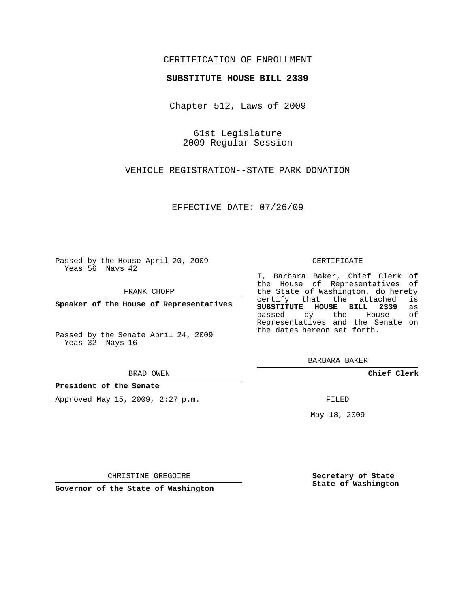### CERTIFICATION OF ENROLLMENT

### **SUBSTITUTE HOUSE BILL 2339**

Chapter 512, Laws of 2009

61st Legislature 2009 Regular Session

VEHICLE REGISTRATION--STATE PARK DONATION

EFFECTIVE DATE: 07/26/09

Passed by the House April 20, 2009 Yeas 56 Nays 42

FRANK CHOPP

**Speaker of the House of Representatives**

Passed by the Senate April 24, 2009 Yeas 32 Nays 16

#### BRAD OWEN

### **President of the Senate**

Approved May 15, 2009, 2:27 p.m.

#### CERTIFICATE

I, Barbara Baker, Chief Clerk of the House of Representatives of the State of Washington, do hereby<br>certify that the attached is certify that the attached **SUBSTITUTE HOUSE BILL 2339** as passed by the Representatives and the Senate on the dates hereon set forth.

BARBARA BAKER

**Chief Clerk**

FILED

May 18, 2009

**Secretary of State State of Washington**

CHRISTINE GREGOIRE

**Governor of the State of Washington**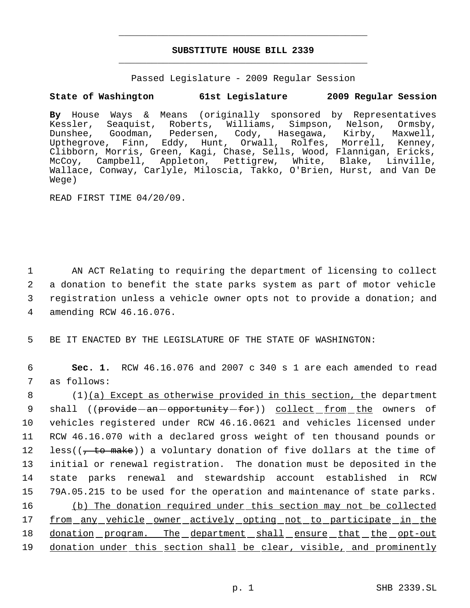# **SUBSTITUTE HOUSE BILL 2339** \_\_\_\_\_\_\_\_\_\_\_\_\_\_\_\_\_\_\_\_\_\_\_\_\_\_\_\_\_\_\_\_\_\_\_\_\_\_\_\_\_\_\_\_\_

\_\_\_\_\_\_\_\_\_\_\_\_\_\_\_\_\_\_\_\_\_\_\_\_\_\_\_\_\_\_\_\_\_\_\_\_\_\_\_\_\_\_\_\_\_

Passed Legislature - 2009 Regular Session

# **State of Washington 61st Legislature 2009 Regular Session**

**By** House Ways & Means (originally sponsored by Representatives Kessler, Seaquist, Roberts, Williams, Simpson, Nelson, Ormsby,<br>Dunshee, Goodman, Pedersen, Cody, Hasegawa, Kirby, Maxwell, Pedersen, Cody, Hasegawa, Kirby, Maxwell, Upthegrove, Finn, Eddy, Hunt, Orwall, Rolfes, Morrell, Kenney, Clibborn, Morris, Green, Kagi, Chase, Sells, Wood, Flannigan, Ericks, McCoy, Campbell, Appleton, Pettigrew, White, Blake, Linville, Wallace, Conway, Carlyle, Miloscia, Takko, O'Brien, Hurst, and Van De Wege)

READ FIRST TIME 04/20/09.

 AN ACT Relating to requiring the department of licensing to collect a donation to benefit the state parks system as part of motor vehicle registration unless a vehicle owner opts not to provide a donation; and amending RCW 46.16.076.

5 BE IT ENACTED BY THE LEGISLATURE OF THE STATE OF WASHINGTON:

 6 **Sec. 1.** RCW 46.16.076 and 2007 c 340 s 1 are each amended to read 7 as follows:

8 (1)(a) Except as otherwise provided in this section, the department 9 shall ((provide - an - opportunity - for)) collect from the owners of 10 vehicles registered under RCW 46.16.0621 and vehicles licensed under 11 RCW 46.16.070 with a declared gross weight of ten thousand pounds or 12 less( $(\tau$  to make)) a voluntary donation of five dollars at the time of 13 initial or renewal registration. The donation must be deposited in the 14 state parks renewal and stewardship account established in RCW 15 79A.05.215 to be used for the operation and maintenance of state parks. 16 (b) The donation required under this section may not be collected 17 from any vehicle owner actively opting not to participate in the 18 donation program. The department shall ensure that the opt-out 19 donation under this section shall be clear, visible, and prominently